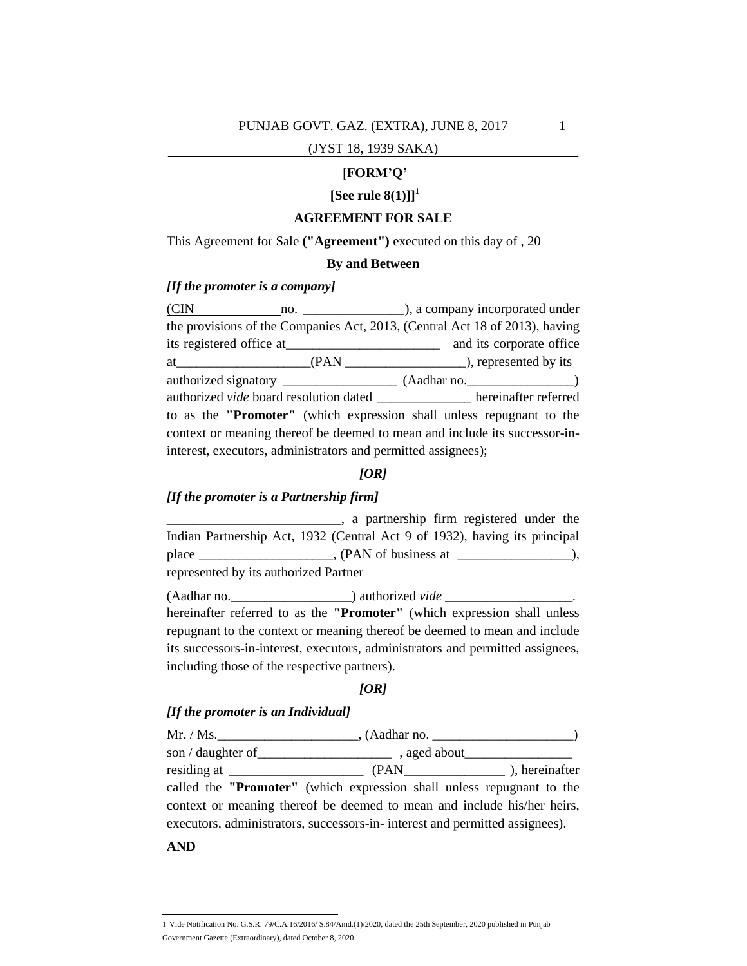#### **[FORM'Q'**

# $[{\rm See}\ {\rm rule}\ 8(1)]\]^{1}$

#### **AGREEMENT FOR SALE**

This Agreement for Sale **("Agreement")** executed on this day of , 20

#### **By and Between**

#### *[If the promoter is a company]*

(CIN no.  $\blacksquare$ ), a company incorporated under the provisions of the Companies Act, 2013, (Central Act 18 of 2013), having its registered office at\_\_\_\_\_\_\_\_\_\_\_\_\_\_\_\_\_\_\_\_\_\_\_ and its corporate office at\_\_\_\_\_\_\_\_\_\_\_\_\_\_\_\_\_\_\_\_\_\_\_(PAN \_\_\_\_\_\_\_\_\_\_\_\_\_\_\_\_\_\_\_\_\_\_), represented by its authorized signatory \_\_\_\_\_\_\_\_\_\_\_\_\_\_\_\_\_ (Aadhar no.\_\_\_\_\_\_\_\_\_\_\_\_\_\_\_\_) authorized *vide* board resolution dated hereinafter referred to as the **"Promoter"** (which expression shall unless repugnant to the context or meaning thereof be deemed to mean and include its successor-ininterest, executors, administrators and permitted assignees);

### *[OR]*

#### *[If the promoter is a Partnership firm]*

\_\_\_\_\_\_\_\_\_\_\_\_\_\_\_\_\_\_\_\_\_\_\_\_\_\_, a partnership firm registered under the Indian Partnership Act, 1932 (Central Act 9 of 1932), having its principal place \_\_\_\_\_\_\_\_\_\_\_\_\_\_\_\_\_, (PAN of business at \_\_\_\_\_\_\_\_\_\_\_\_\_\_\_\_), represented by its authorized Partner

(Aadhar no. \_\_\_\_\_\_\_\_\_\_\_\_\_\_\_) authorized *vide* \_\_\_\_\_\_\_\_\_\_\_\_\_\_\_\_\_\_\_. hereinafter referred to as the **"Promoter"** (which expression shall unless repugnant to the context or meaning thereof be deemed to mean and include its successors-in-interest, executors, administrators and permitted assignees, including those of the respective partners).

#### *[OR]*

### *[If the promoter is an Individual]*

Mr. / Ms. \_\_\_\_\_\_\_\_\_\_\_\_\_\_\_\_\_\_\_\_\_\_\_\_\_\_\_\_\_, (Aadhar no. \_\_\_\_\_\_\_\_\_\_\_\_\_\_\_\_\_\_\_\_\_\_\_\_\_\_\_ son / daughter of containing a ged about residing at \_\_\_\_\_\_\_\_\_\_\_\_\_\_\_\_\_\_\_\_ (PAN\_\_\_\_\_\_\_\_\_\_\_\_\_\_\_ ), hereinafter called the **"Promoter"** (which expression shall unless repugnant to the context or meaning thereof be deemed to mean and include his/her heirs, executors, administrators, successors-in- interest and permitted assignees).

**AND**

 1 Vide Notification No. G.S.R. 79/C.A.16/2016/ S.84/Amd.(1)/2020, dated the 25th September, 2020 published in Punjab Government Gazette (Extraordinary), dated October 8, 2020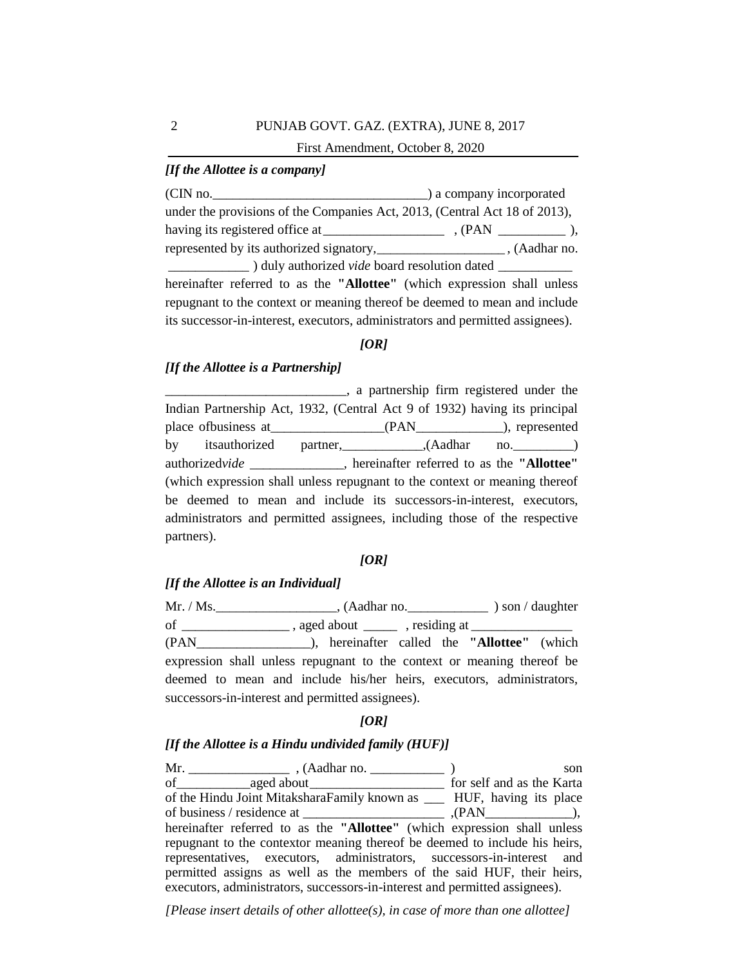# First Amendment, October 8, 2020

# *[If the Allottee is a company]*

(CIN no.\_\_\_\_\_\_\_\_\_\_\_\_\_\_\_\_\_\_\_\_\_\_\_\_\_\_\_\_\_\_\_\_) a company incorporated under the provisions of the Companies Act, 2013, (Central Act 18 of 2013), having its registered office at\_\_\_\_\_\_\_\_\_\_\_\_\_\_\_\_\_\_ , (PAN \_\_\_\_\_\_\_\_\_\_ ), represented by its authorized signatory,\_\_\_\_\_\_\_\_\_\_\_\_\_\_\_\_\_\_\_ , (Aadhar no. \_\_\_\_\_\_\_\_\_\_\_\_ ) duly authorized *vide* board resolution dated \_\_\_\_\_\_\_\_\_\_\_ hereinafter referred to as the **"Allottee"** (which expression shall unless repugnant to the context or meaning thereof be deemed to mean and include its successor-in-interest, executors, administrators and permitted assignees).

### *[OR]*

#### *[If the Allottee is a Partnership]*

\_\_\_\_\_\_\_\_\_\_\_\_\_\_\_\_\_\_\_\_\_\_\_\_\_\_\_, a partnership firm registered under the Indian Partnership Act, 1932, (Central Act 9 of 1932) having its principal place ofbusiness at\_\_\_\_\_\_\_\_\_\_\_\_\_\_\_\_\_(PAN\_\_\_\_\_\_\_\_\_\_\_\_\_), represented by itsauthorized partner, (Aadhar no. ) authorized*vide \_\_\_\_\_\_\_\_\_\_\_\_\_\_,* hereinafter referred to as the **"Allottee"**  (which expression shall unless repugnant to the context or meaning thereof be deemed to mean and include its successors-in-interest, executors, administrators and permitted assignees, including those of the respective partners).

#### *[OR]*

### *[If the Allottee is an Individual]*

Mr. / Ms.\_\_\_\_\_\_\_\_\_\_\_\_\_\_\_\_\_\_, (Aadhar no.\_\_\_\_\_\_\_\_\_\_\_\_ ) son / daughter of \_\_\_\_\_\_\_\_\_\_\_\_\_\_\_\_ , aged about \_\_\_\_\_ , residing at \_\_\_\_\_\_\_\_\_\_\_\_\_\_\_ (PAN\_\_\_\_\_\_\_\_\_\_\_\_\_\_\_\_\_), hereinafter called the **"Allottee"** (which expression shall unless repugnant to the context or meaning thereof be deemed to mean and include his/her heirs, executors, administrators, successors-in-interest and permitted assignees).

#### *[OR]*

### *[If the Allottee is a Hindu undivided family (HUF)]*

Mr. \_\_\_\_\_\_\_\_\_\_\_\_\_\_\_ , (Aadhar no. \_\_\_\_\_\_\_\_\_\_\_ ) son of\_\_\_\_\_\_\_\_\_\_\_aged about\_\_\_\_\_\_\_\_\_\_\_\_\_\_\_\_\_\_\_\_ for self and as the Karta of the Hindu Joint MitaksharaFamily known as \_\_\_ HUF, having its place of business / residence at \_\_\_\_\_\_\_\_\_\_\_\_\_\_\_\_\_\_\_\_\_ ,(PAN\_\_\_\_\_\_\_\_\_\_\_\_\_), hereinafter referred to as the **"Allottee"** (which expression shall unless repugnant to the contextor meaning thereof be deemed to include his heirs, representatives, executors, administrators, successors-in-interest and permitted assigns as well as the members of the said HUF, their heirs, executors, administrators, successors-in-interest and permitted assignees).

*[Please insert details of other allottee(s), in case of more than one allottee]*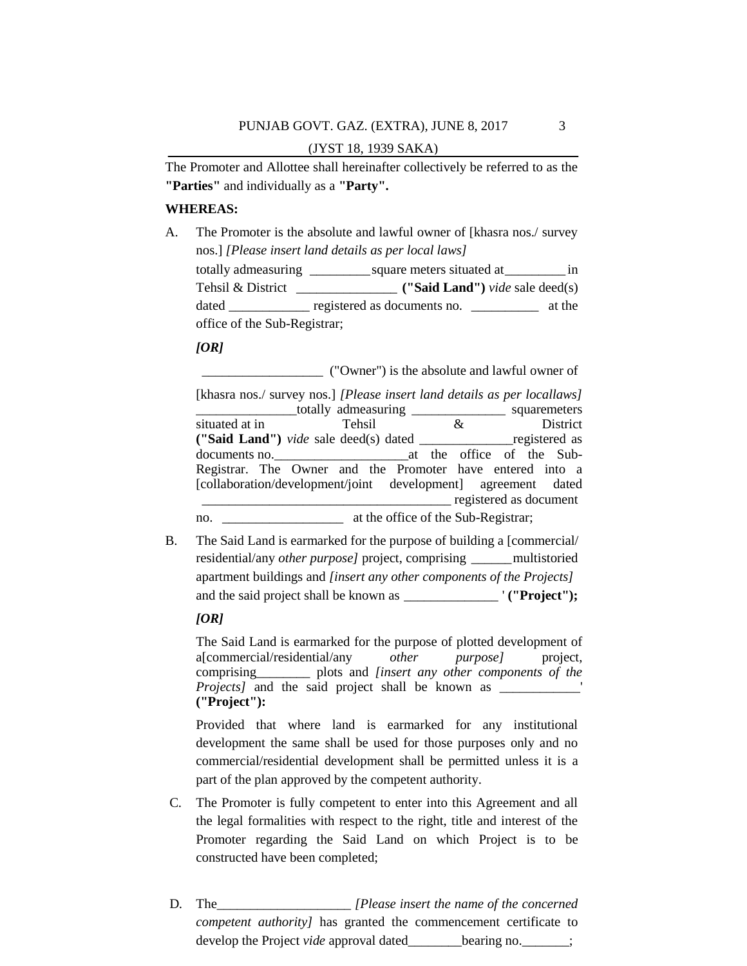The Promoter and Allottee shall hereinafter collectively be referred to as the **"Parties"** and individually as a **"Party".**

#### **WHEREAS:**

A. The Promoter is the absolute and lawful owner of [khasra nos./ survey nos.] *[Please insert land details as per local laws]* totally admeasuring \_\_\_\_\_\_\_\_\_square meters situated at\_\_\_\_\_\_\_\_\_ in Tehsil & District \_\_\_\_\_\_\_\_\_\_\_\_\_\_\_ **("Said Land")** *vide* sale deed(s) dated \_\_\_\_\_\_\_\_\_\_\_\_ registered as documents no. \_\_\_\_\_\_\_\_\_\_\_\_ at the office of the Sub-Registrar;

#### *[OR]*

\_\_\_\_\_\_\_\_\_\_\_\_\_\_\_\_\_\_ ("Owner") is the absolute and lawful owner of

| [khasra nos./ survey nos.] [Please insert land details as per locallaws] |                                                         |   |                          |  |
|--------------------------------------------------------------------------|---------------------------------------------------------|---|--------------------------|--|
|                                                                          | totally admeasuring ______________________ squaremeters |   |                          |  |
| situated at in                                                           | Tehsil                                                  | & | District                 |  |
| ("Said Land") vide sale deed(s) dated _________________ registered as    |                                                         |   |                          |  |
|                                                                          |                                                         |   |                          |  |
| Registrar. The Owner and the Promoter have entered into a                |                                                         |   |                          |  |
| [collaboration/development/joint development] agreement dated            |                                                         |   |                          |  |
|                                                                          |                                                         |   | _ registered as document |  |
| no.                                                                      | at the office of the Sub-Registrar;                     |   |                          |  |

B. The Said Land is earmarked for the purpose of building a [commercial/ residential/any *other purpose]* project, comprising \_\_\_\_\_\_multistoried apartment buildings and *[insert any other components of the Projects]* and the said project shall be known as \_\_\_\_\_\_\_\_\_\_\_\_\_\_ ' **("Project");**

# *[OR]*

The Said Land is earmarked for the purpose of plotted development of a[commercial/residential/any *other purpose]* project, comprising\_\_\_\_\_\_\_\_ plots and *[insert any other components of the Projects]* and the said project shall be known as \_\_\_\_\_\_\_\_\_\_\_\_\_' **("Project"):**

Provided that where land is earmarked for any institutional development the same shall be used for those purposes only and no commercial/residential development shall be permitted unless it is a part of the plan approved by the competent authority.

- C. The Promoter is fully competent to enter into this Agreement and all the legal formalities with respect to the right, title and interest of the Promoter regarding the Said Land on which Project is to be constructed have been completed;
- D. The *[Please insert the name of the concerned ] competent authority]* has granted the commencement certificate to develop the Project *vide* approval dated bearing no.  $\vdots$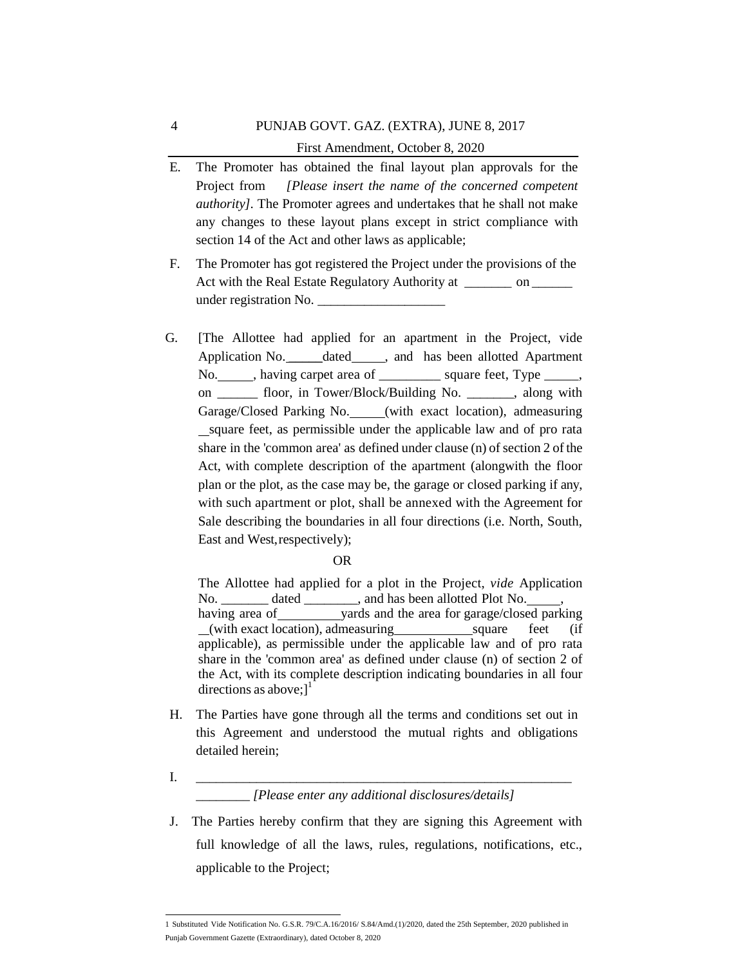# PUNJAB GOVT. GAZ. (EXTRA), JUNE 8, 2017 First Amendment, October 8, 2020

- E. The Promoter has obtained the final layout plan approvals for the Project from *[Please insert the name of the concerned competent authority].* The Promoter agrees and undertakes that he shall not make any changes to these layout plans except in strict compliance with section 14 of the Act and other laws as applicable;
- F. The Promoter has got registered the Project under the provisions of the Act with the Real Estate Regulatory Authority at \_\_\_\_\_\_\_ on \_\_\_\_\_\_ under registration No.
- G. [The Allottee had applied for an apartment in the Project, vide Application No. \_\_\_\_\_dated \_\_\_\_\_, and has been allotted Apartment No.  $\qquad \qquad$ , having carpet area of square feet, Type \_\_\_\_, on \_\_\_\_\_\_ floor, in Tower/Block/Building No. \_\_\_\_\_\_\_, along with Garage/Closed Parking No. \_\_\_\_(with exact location), admeasuring square feet, as permissible under the applicable law and of pro rata share in the 'common area' as defined under clause (n) of section 2 of the Act, with complete description of the apartment (alongwith the floor plan or the plot, as the case may be, the garage or closed parking if any, with such apartment or plot, shall be annexed with the Agreement for Sale describing the boundaries in all four directions (i.e. North, South, East and West,respectively);

### OR

The Allottee had applied for a plot in the Project, *vide* Application No. \_\_\_\_\_\_\_\_ dated \_\_\_\_\_\_\_\_, and has been allotted Plot No. \_\_\_\_\_, having area of yards and the area for garage/closed parking (with exact location), admeasuring square feet (if applicable), as permissible under the applicable law and of pro rata share in the 'common area' as defined under clause (n) of section 2 of the Act, with its complete description indicating boundaries in all four directions as above;] $<sup>1</sup>$ </sup>

- H. The Parties have gone through all the terms and conditions set out in this Agreement and understood the mutual rights and obligations detailed herein;
- I. \_\_\_\_\_\_\_\_\_\_\_\_\_\_\_\_\_\_\_\_\_\_\_\_\_\_\_\_\_\_\_\_\_\_\_\_\_\_\_\_\_\_\_\_\_\_\_\_\_\_\_\_\_\_\_\_

# \_\_\_\_\_\_\_\_ *[Please enter any additional disclosures/details]*

J. The Parties hereby confirm that they are signing this Agreement with full knowledge of all the laws, rules, regulations, notifications, etc., applicable to the Project;

 1 Substituted Vide Notification No. G.S.R. 79/C.A.16/2016/ S.84/Amd.(1)/2020, dated the 25th September, 2020 published in Punjab Government Gazette (Extraordinary), dated October 8, 2020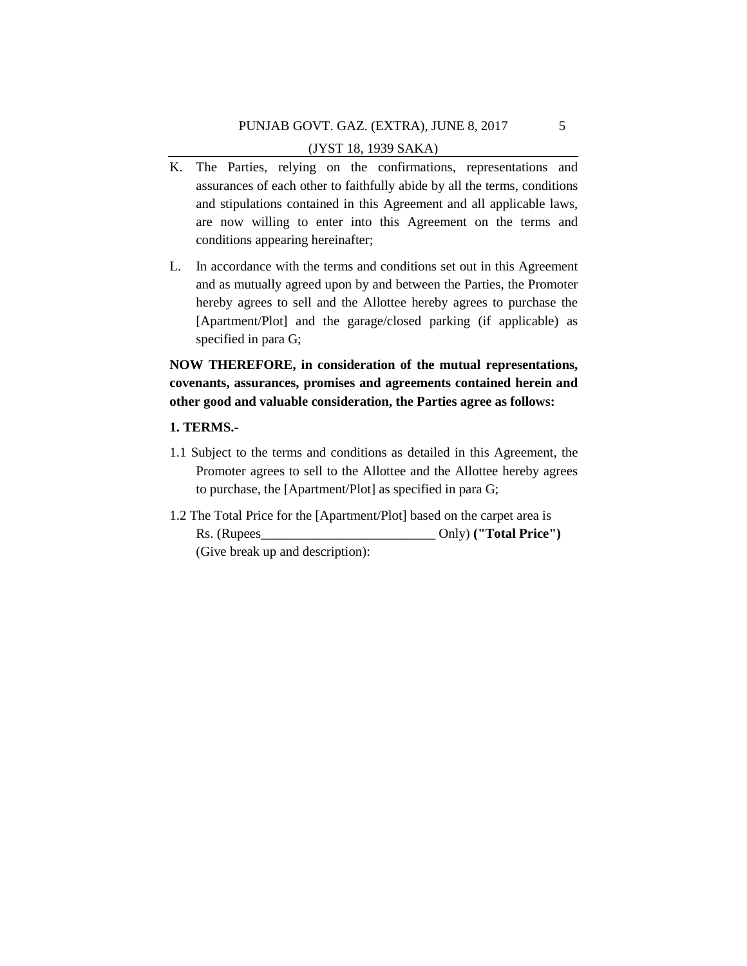- K. The Parties, relying on the confirmations, representations and assurances of each other to faithfully abide by all the terms, conditions and stipulations contained in this Agreement and all applicable laws, are now willing to enter into this Agreement on the terms and conditions appearing hereinafter;
- L. In accordance with the terms and conditions set out in this Agreement and as mutually agreed upon by and between the Parties, the Promoter hereby agrees to sell and the Allottee hereby agrees to purchase the [Apartment/Plot] and the garage/closed parking (if applicable) as specified in para G;

**NOW THEREFORE, in consideration of the mutual representations, covenants, assurances, promises and agreements contained herein and other good and valuable consideration, the Parties agree as follows:**

### **1. TERMS.-**

- 1.1 Subject to the terms and conditions as detailed in this Agreement, the Promoter agrees to sell to the Allottee and the Allottee hereby agrees to purchase, the [Apartment/Plot] as specified in para G;
- 1.2 The Total Price for the [Apartment/Plot] based on the carpet area is Rs. (Rupees\_\_\_\_\_\_\_\_\_\_\_\_\_\_\_\_\_\_\_\_\_\_\_\_\_\_ Only) **("Total Price")**  (Give break up and description):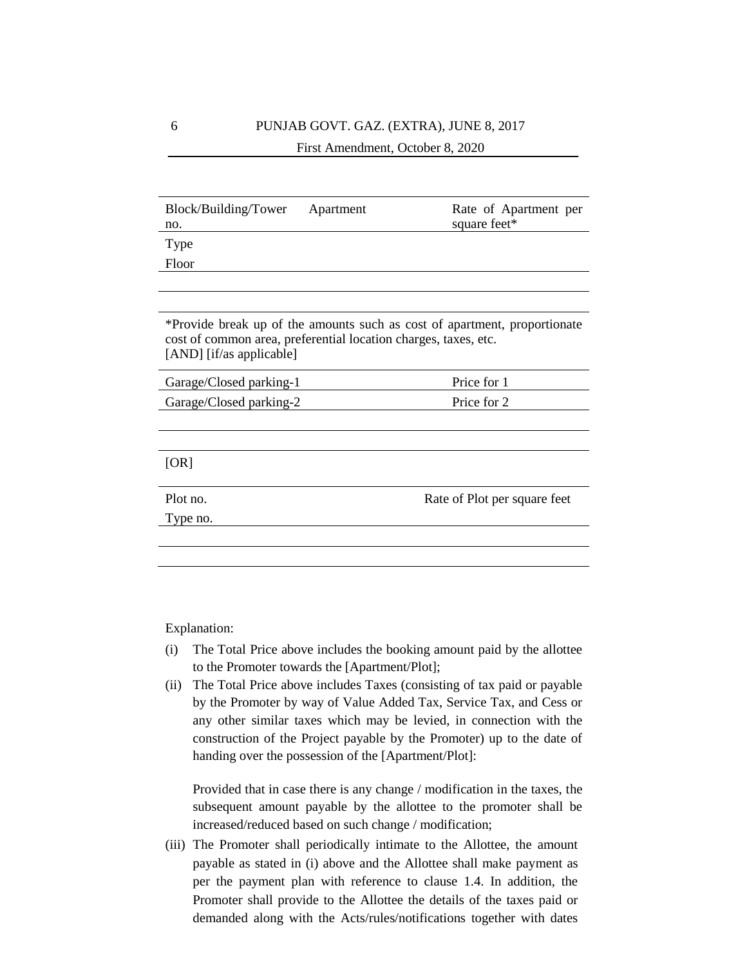| Block/Building/Tower<br>no.                                                                 | Apartment | Rate of Apartment per<br>square feet*                                     |
|---------------------------------------------------------------------------------------------|-----------|---------------------------------------------------------------------------|
| Type                                                                                        |           |                                                                           |
| Floor                                                                                       |           |                                                                           |
|                                                                                             |           |                                                                           |
|                                                                                             |           |                                                                           |
| cost of common area, preferential location charges, taxes, etc.<br>[AND] [if/as applicable] |           | *Provide break up of the amounts such as cost of apartment, proportionate |
| Garage/Closed parking-1                                                                     |           | Price for 1                                                               |
| Garage/Closed parking-2                                                                     |           | Price for 2                                                               |
|                                                                                             |           |                                                                           |
|                                                                                             |           |                                                                           |
| [OR]                                                                                        |           |                                                                           |
|                                                                                             |           |                                                                           |
| Plot no.                                                                                    |           | Rate of Plot per square feet                                              |
| Type no.                                                                                    |           |                                                                           |
|                                                                                             |           |                                                                           |
|                                                                                             |           |                                                                           |

Explanation:

- (i) The Total Price above includes the booking amount paid by the allottee to the Promoter towards the [Apartment/Plot];
- (ii) The Total Price above includes Taxes (consisting of tax paid or payable by the Promoter by way of Value Added Tax, Service Tax, and Cess or any other similar taxes which may be levied, in connection with the construction of the Project payable by the Promoter) up to the date of handing over the possession of the [Apartment/Plot]:

Provided that in case there is any change / modification in the taxes, the subsequent amount payable by the allottee to the promoter shall be increased/reduced based on such change / modification;

(iii) The Promoter shall periodically intimate to the Allottee, the amount payable as stated in (i) above and the Allottee shall make payment as per the payment plan with reference to clause 1.4. In addition, the Promoter shall provide to the Allottee the details of the taxes paid or demanded along with the Acts/rules/notifications together with dates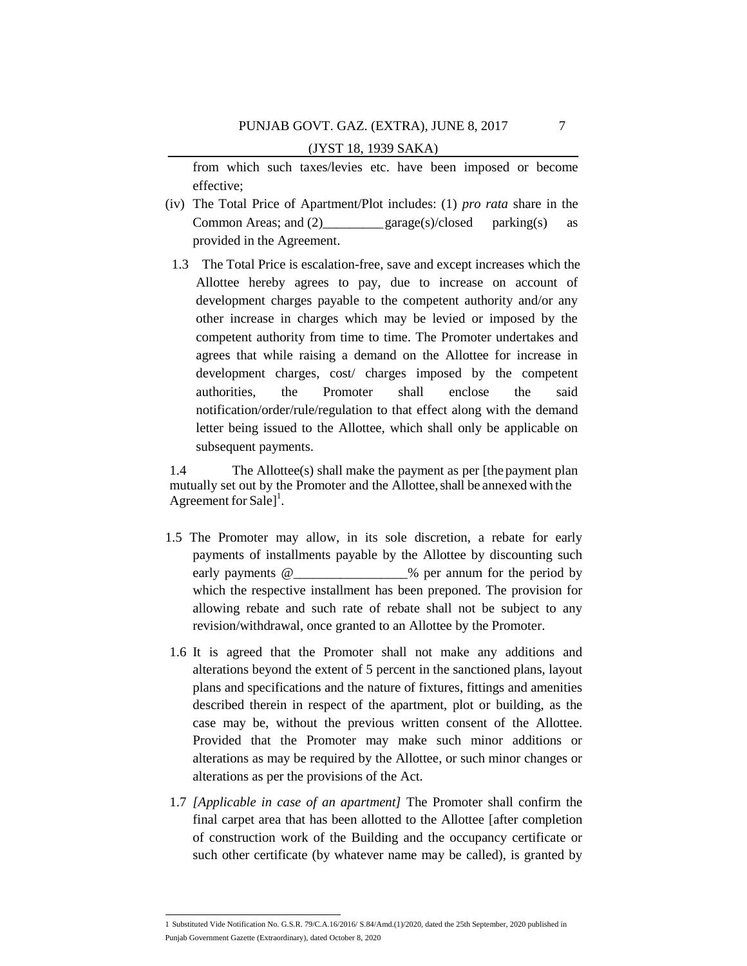from which such taxes/levies etc. have been imposed or become effective;

- (iv) The Total Price of Apartment/Plot includes: (1) *pro rata* share in the Common Areas; and (2)  $\qquad \qquad \text{garage(s)/closed} \qquad \text{parking(s)} \qquad \text{as}$ provided in the Agreement.
- 1.3 The Total Price is escalation-free, save and except increases which the Allottee hereby agrees to pay, due to increase on account of development charges payable to the competent authority and/or any other increase in charges which may be levied or imposed by the competent authority from time to time. The Promoter undertakes and agrees that while raising a demand on the Allottee for increase in development charges, cost/ charges imposed by the competent authorities, the Promoter shall enclose the said notification/order/rule/regulation to that effect along with the demand letter being issued to the Allottee, which shall only be applicable on subsequent payments.

1.4 The Allottee(s) shall make the payment as per [the payment plan mutually set out by the Promoter and the Allottee, shall be annexed with the Agreement for Sale]<sup>1</sup>.

- 1.5 The Promoter may allow, in its sole discretion, a rebate for early payments of installments payable by the Allottee by discounting such early payments  $@$  % per annum for the period by which the respective installment has been preponed. The provision for allowing rebate and such rate of rebate shall not be subject to any revision/withdrawal, once granted to an Allottee by the Promoter.
- 1.6 It is agreed that the Promoter shall not make any additions and alterations beyond the extent of 5 percent in the sanctioned plans, layout plans and specifications and the nature of fixtures, fittings and amenities described therein in respect of the apartment, plot or building, as the case may be, without the previous written consent of the Allottee. Provided that the Promoter may make such minor additions or alterations as may be required by the Allottee, or such minor changes or alterations as per the provisions of the Act.
- 1.7 *[Applicable in case of an apartment]* The Promoter shall confirm the final carpet area that has been allotted to the Allottee [after completion of construction work of the Building and the occupancy certificate or such other certificate (by whatever name may be called), is granted by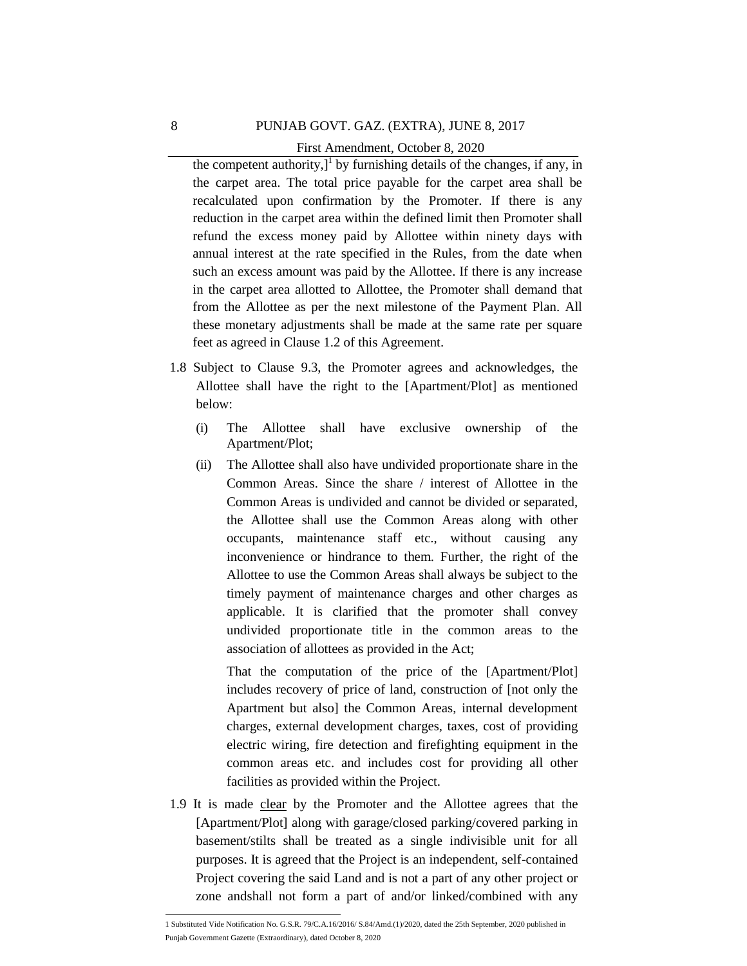First Amendment, October 8, 2020

the competent authority, $J^1$  by furnishing details of the changes, if any, in the carpet area. The total price payable for the carpet area shall be recalculated upon confirmation by the Promoter. If there is any reduction in the carpet area within the defined limit then Promoter shall refund the excess money paid by Allottee within ninety days with annual interest at the rate specified in the Rules, from the date when such an excess amount was paid by the Allottee. If there is any increase in the carpet area allotted to Allottee, the Promoter shall demand that from the Allottee as per the next milestone of the Payment Plan. All these monetary adjustments shall be made at the same rate per square feet as agreed in Clause 1.2 of this Agreement.

- 1.8 Subject to Clause 9.3, the Promoter agrees and acknowledges, the Allottee shall have the right to the [Apartment/Plot] as mentioned below:
	- (i) The Allottee shall have exclusive ownership of the Apartment/Plot;
	- (ii) The Allottee shall also have undivided proportionate share in the Common Areas. Since the share / interest of Allottee in the Common Areas is undivided and cannot be divided or separated, the Allottee shall use the Common Areas along with other occupants, maintenance staff etc., without causing any inconvenience or hindrance to them. Further, the right of the Allottee to use the Common Areas shall always be subject to the timely payment of maintenance charges and other charges as applicable. It is clarified that the promoter shall convey undivided proportionate title in the common areas to the association of allottees as provided in the Act;

That the computation of the price of the [Apartment/Plot] includes recovery of price of land, construction of [not only the Apartment but also] the Common Areas, internal development charges, external development charges, taxes, cost of providing electric wiring, fire detection and firefighting equipment in the common areas etc. and includes cost for providing all other facilities as provided within the Project.

1.9 It is made clear by the Promoter and the Allottee agrees that the [Apartment/Plot] along with garage/closed parking/covered parking in basement/stilts shall be treated as a single indivisible unit for all purposes. It is agreed that the Project is an independent, self-contained Project covering the said Land and is not a part of any other project or zone andshall not form a part of and/or linked/combined with any

 1 Substituted Vide Notification No. G.S.R. 79/C.A.16/2016/ S.84/Amd.(1)/2020, dated the 25th September, 2020 published in Punjab Government Gazette (Extraordinary), dated October 8, 2020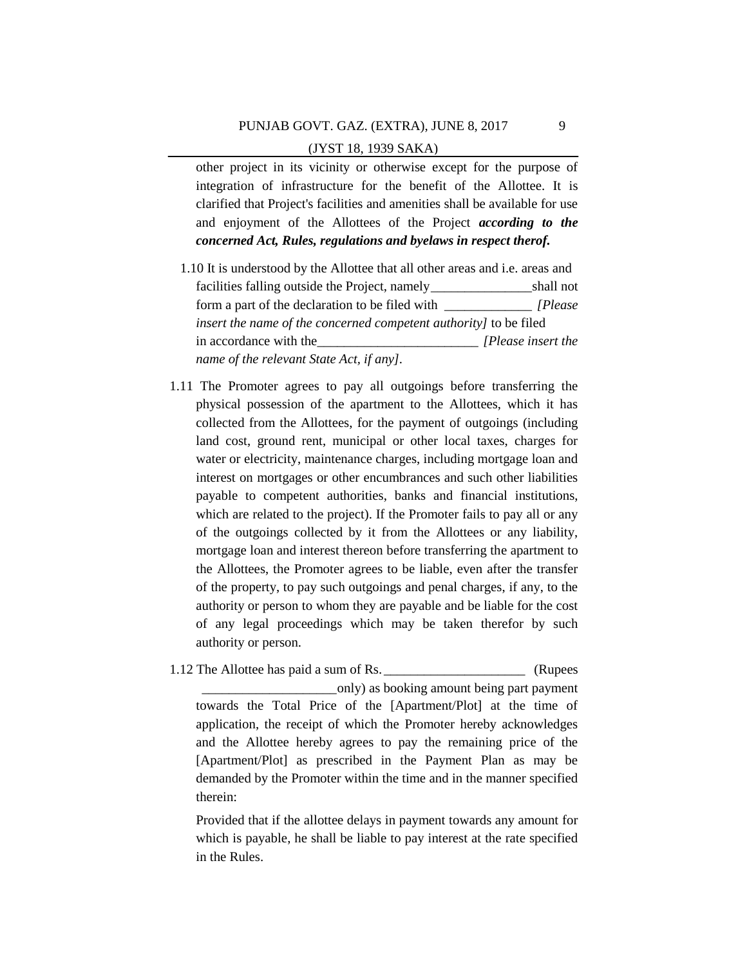other project in its vicinity or otherwise except for the purpose of integration of infrastructure for the benefit of the Allottee. It is clarified that Project's facilities and amenities shall be available for use and enjoyment of the Allottees of the Project *according to the concerned Act, Rules, regulations and byelaws in respect therof.*

- 1.10 It is understood by the Allottee that all other areas and i.e. areas and facilities falling outside the Project, namely\_\_\_\_\_\_\_\_\_\_\_\_\_\_\_shall not form a part of the declaration to be filed with \_\_\_\_\_\_\_\_\_\_\_\_\_ *[Please insert the name of the concerned competent authority]* to be filed in accordance with the\_\_\_\_\_\_\_\_\_\_\_\_\_\_\_\_\_\_\_\_\_\_\_\_ *[Please insert the name of the relevant State Act, if any].*
- 1.11 The Promoter agrees to pay all outgoings before transferring the physical possession of the apartment to the Allottees, which it has collected from the Allottees, for the payment of outgoings (including land cost, ground rent, municipal or other local taxes, charges for water or electricity, maintenance charges, including mortgage loan and interest on mortgages or other encumbrances and such other liabilities payable to competent authorities, banks and financial institutions, which are related to the project). If the Promoter fails to pay all or any of the outgoings collected by it from the Allottees or any liability, mortgage loan and interest thereon before transferring the apartment to the Allottees, the Promoter agrees to be liable, even after the transfer of the property, to pay such outgoings and penal charges, if any, to the authority or person to whom they are payable and be liable for the cost of any legal proceedings which may be taken therefor by such authority or person.

1.12 The Allottee has paid a sum of Rs. \_\_\_\_\_\_\_\_\_\_\_\_\_\_\_\_\_\_\_\_\_\_\_\_\_\_\_ (Rupees \_\_\_\_\_\_\_\_\_\_\_\_\_\_\_\_\_\_\_\_only) as booking amount being part payment towards the Total Price of the [Apartment/Plot] at the time of application, the receipt of which the Promoter hereby acknowledges and the Allottee hereby agrees to pay the remaining price of the [Apartment/Plot] as prescribed in the Payment Plan as may be demanded by the Promoter within the time and in the manner specified therein:

Provided that if the allottee delays in payment towards any amount for which is payable, he shall be liable to pay interest at the rate specified in the Rules.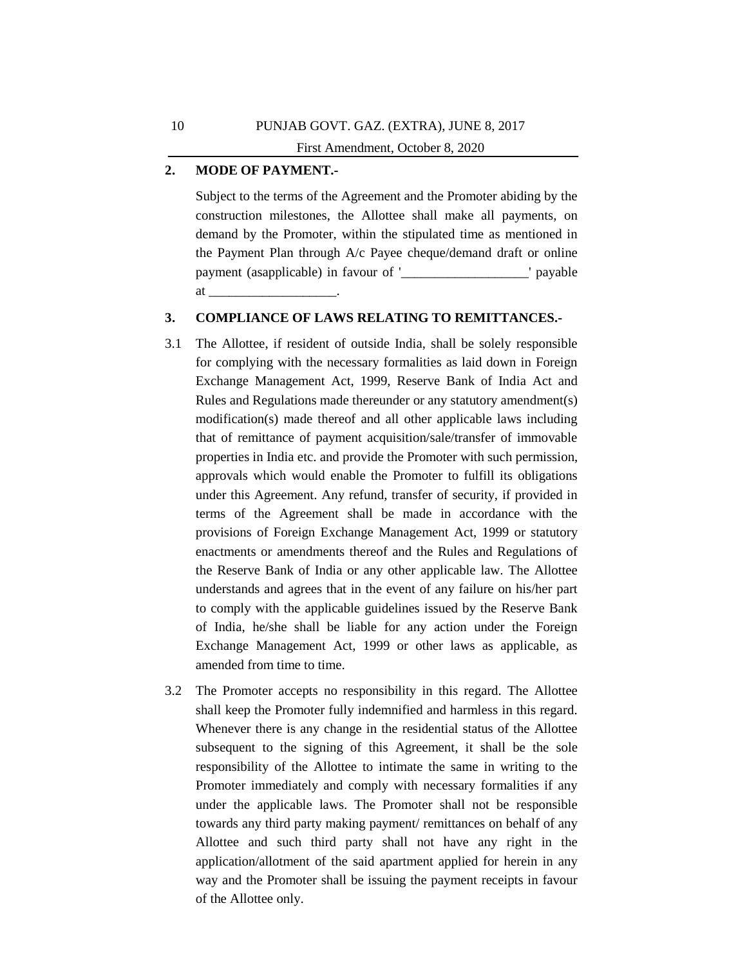#### $\Gamma$ . 1939  $\Gamma$ **2. MODE OF PAYMENT.-**

Subject to the terms of the Agreement and the Promoter abiding by the construction milestones, the Allottee shall make all payments, on demand by the Promoter, within the stipulated time as mentioned in the Payment Plan through A/c Payee cheque/demand draft or online payment (asapplicable) in favour of '\_\_\_\_\_\_\_\_\_\_\_\_\_\_\_\_\_\_\_' payable at

# **3. COMPLIANCE OF LAWS RELATING TO REMITTANCES.-**

- 3.1 The Allottee, if resident of outside India, shall be solely responsible for complying with the necessary formalities as laid down in Foreign Exchange Management Act, 1999, Reserve Bank of India Act and Rules and Regulations made thereunder or any statutory amendment(s) modification(s) made thereof and all other applicable laws including that of remittance of payment acquisition/sale/transfer of immovable properties in India etc. and provide the Promoter with such permission, approvals which would enable the Promoter to fulfill its obligations under this Agreement. Any refund, transfer of security, if provided in terms of the Agreement shall be made in accordance with the provisions of Foreign Exchange Management Act, 1999 or statutory enactments or amendments thereof and the Rules and Regulations of the Reserve Bank of India or any other applicable law. The Allottee understands and agrees that in the event of any failure on his/her part to comply with the applicable guidelines issued by the Reserve Bank of India, he/she shall be liable for any action under the Foreign Exchange Management Act, 1999 or other laws as applicable, as amended from time to time.
- 3.2 The Promoter accepts no responsibility in this regard. The Allottee shall keep the Promoter fully indemnified and harmless in this regard. Whenever there is any change in the residential status of the Allottee subsequent to the signing of this Agreement, it shall be the sole responsibility of the Allottee to intimate the same in writing to the Promoter immediately and comply with necessary formalities if any under the applicable laws. The Promoter shall not be responsible towards any third party making payment/ remittances on behalf of any Allottee and such third party shall not have any right in the application/allotment of the said apartment applied for herein in any way and the Promoter shall be issuing the payment receipts in favour of the Allottee only.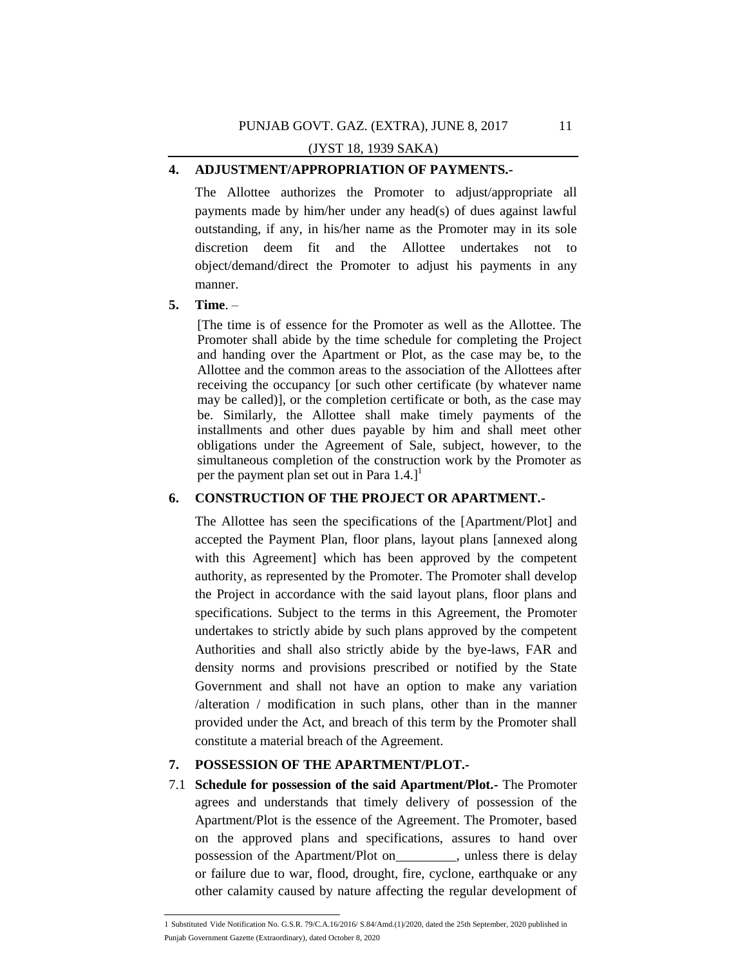# **4. ADJUSTMENT/APPROPRIATION OF PAYMENTS.-**

The Allottee authorizes the Promoter to adjust/appropriate all payments made by him/her under any head(s) of dues against lawful outstanding, if any, in his/her name as the Promoter may in its sole discretion deem fit and the Allottee undertakes not to object/demand/direct the Promoter to adjust his payments in any manner.

#### **5. Time**. –

[The time is of essence for the Promoter as well as the Allottee. The Promoter shall abide by the time schedule for completing the Project and handing over the Apartment or Plot, as the case may be, to the Allottee and the common areas to the association of the Allottees after receiving the occupancy [or such other certificate (by whatever name may be called)], or the completion certificate or both, as the case may be. Similarly, the Allottee shall make timely payments of the installments and other dues payable by him and shall meet other obligations under the Agreement of Sale, subject, however, to the simultaneous completion of the construction work by the Promoter as per the payment plan set out in Para  $1.4$ .]<sup>1</sup>

# **6. CONSTRUCTION OF THE PROJECT OR APARTMENT.-**

The Allottee has seen the specifications of the [Apartment/Plot] and accepted the Payment Plan, floor plans, layout plans [annexed along with this Agreement] which has been approved by the competent authority, as represented by the Promoter. The Promoter shall develop the Project in accordance with the said layout plans, floor plans and specifications. Subject to the terms in this Agreement, the Promoter undertakes to strictly abide by such plans approved by the competent Authorities and shall also strictly abide by the bye-laws, FAR and density norms and provisions prescribed or notified by the State Government and shall not have an option to make any variation /alteration / modification in such plans, other than in the manner provided under the Act, and breach of this term by the Promoter shall constitute a material breach of the Agreement.

# **7. POSSESSION OF THE APARTMENT/PLOT.-**

7.1 **Schedule for possession of the said Apartment/Plot.-** The Promoter agrees and understands that timely delivery of possession of the Apartment/Plot is the essence of the Agreement. The Promoter, based on the approved plans and specifications, assures to hand over possession of the Apartment/Plot on\_\_\_\_\_\_\_\_\_, unless there is delay or failure due to war, flood, drought, fire, cyclone, earthquake or any other calamity caused by nature affecting the regular development of

 1 Substituted Vide Notification No. G.S.R. 79/C.A.16/2016/ S.84/Amd.(1)/2020, dated the 25th September, 2020 published in Punjab Government Gazette (Extraordinary), dated October 8, 2020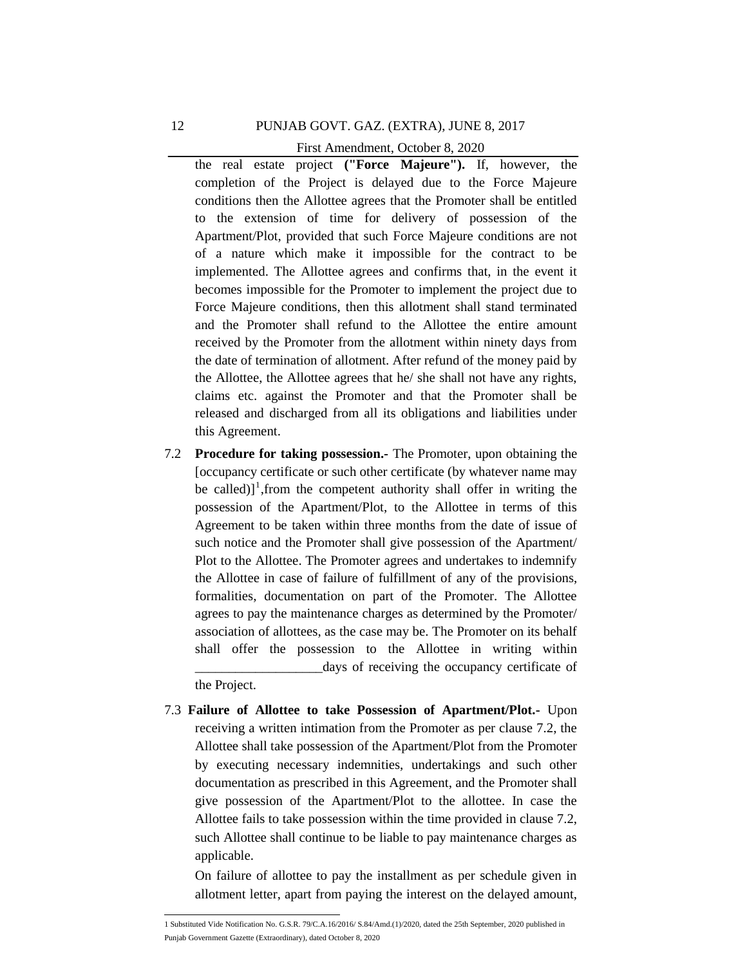First Amendment, October 8, 2020

the real estate project ("**Force Majeure**"). If, however, the completion of the Project is delayed due to the Force Majeure conditions then the Allottee agrees that the Promoter shall be entitled to the extension of time for delivery of possession of the Apartment/Plot, provided that such Force Majeure conditions are not of a nature which make it impossible for the contract to be implemented. The Allottee agrees and confirms that, in the event it becomes impossible for the Promoter to implement the project due to Force Majeure conditions, then this allotment shall stand terminated and the Promoter shall refund to the Allottee the entire amount received by the Promoter from the allotment within ninety days from the date of termination of allotment. After refund of the money paid by the Allottee, the Allottee agrees that he/ she shall not have any rights, claims etc. against the Promoter and that the Promoter shall be released and discharged from all its obligations and liabilities under this Agreement.

- 7.2 **Procedure for taking possession.-** The Promoter, upon obtaining the [occupancy certificate or such other certificate (by whatever name may be called)]<sup>1</sup>, from the competent authority shall offer in writing the possession of the Apartment/Plot, to the Allottee in terms of this Agreement to be taken within three months from the date of issue of such notice and the Promoter shall give possession of the Apartment/ Plot to the Allottee. The Promoter agrees and undertakes to indemnify the Allottee in case of failure of fulfillment of any of the provisions, formalities, documentation on part of the Promoter. The Allottee agrees to pay the maintenance charges as determined by the Promoter/ association of allottees, as the case may be. The Promoter on its behalf shall offer the possession to the Allottee in writing within \_\_\_\_\_\_\_\_\_\_\_\_\_\_\_\_\_\_\_days of receiving the occupancy certificate of the Project.
- 7.3 **Failure of Allottee to take Possession of Apartment/Plot.-** Upon receiving a written intimation from the Promoter as per clause 7.2, the Allottee shall take possession of the Apartment/Plot from the Promoter by executing necessary indemnities, undertakings and such other documentation as prescribed in this Agreement, and the Promoter shall give possession of the Apartment/Plot to the allottee. In case the Allottee fails to take possession within the time provided in clause 7.2, such Allottee shall continue to be liable to pay maintenance charges as applicable.

On failure of allottee to pay the installment as per schedule given in allotment letter, apart from paying the interest on the delayed amount,

 1 Substituted Vide Notification No. G.S.R. 79/C.A.16/2016/ S.84/Amd.(1)/2020, dated the 25th September, 2020 published in Punjab Government Gazette (Extraordinary), dated October 8, 2020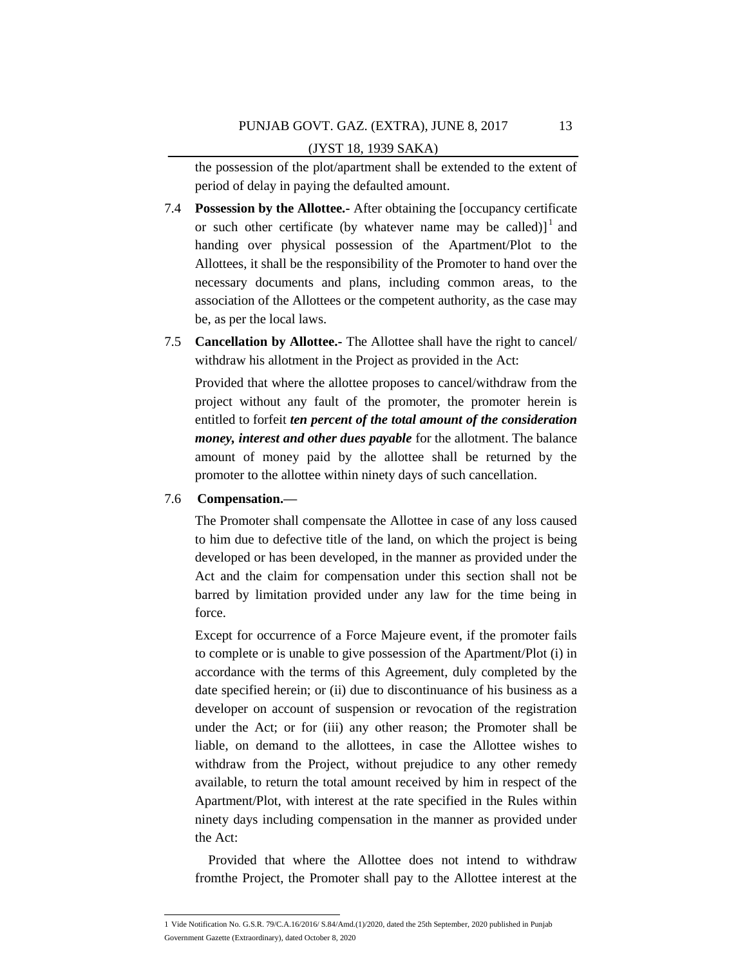the possession of the plot/apartment shall be extended to the extent of period of delay in paying the defaulted amount.

- 7.4 **Possession by the Allottee.-** After obtaining the [occupancy certificate or such other certificate (by whatever name may be called)] $1$  and handing over physical possession of the Apartment/Plot to the Allottees, it shall be the responsibility of the Promoter to hand over the necessary documents and plans, including common areas, to the association of the Allottees or the competent authority, as the case may be, as per the local laws.
- 7.5 **Cancellation by Allottee.-** The Allottee shall have the right to cancel/ withdraw his allotment in the Project as provided in the Act:

Provided that where the allottee proposes to cancel/withdraw from the project without any fault of the promoter, the promoter herein is entitled to forfeit *ten percent of the total amount of the consideration money, interest and other dues payable* for the allotment. The balance amount of money paid by the allottee shall be returned by the promoter to the allottee within ninety days of such cancellation.

#### 7.6 **Compensation.—**

The Promoter shall compensate the Allottee in case of any loss caused to him due to defective title of the land, on which the project is being developed or has been developed, in the manner as provided under the Act and the claim for compensation under this section shall not be barred by limitation provided under any law for the time being in force.

Except for occurrence of a Force Majeure event, if the promoter fails to complete or is unable to give possession of the Apartment/Plot (i) in accordance with the terms of this Agreement, duly completed by the date specified herein; or (ii) due to discontinuance of his business as a developer on account of suspension or revocation of the registration under the Act; or for (iii) any other reason; the Promoter shall be liable, on demand to the allottees, in case the Allottee wishes to withdraw from the Project, without prejudice to any other remedy available, to return the total amount received by him in respect of the Apartment/Plot, with interest at the rate specified in the Rules within ninety days including compensation in the manner as provided under the Act:

Provided that where the Allottee does not intend to withdraw fromthe Project, the Promoter shall pay to the Allottee interest at the

 1 Vide Notification No. G.S.R. 79/C.A.16/2016/ S.84/Amd.(1)/2020, dated the 25th September, 2020 published in Punjab Government Gazette (Extraordinary), dated October 8, 2020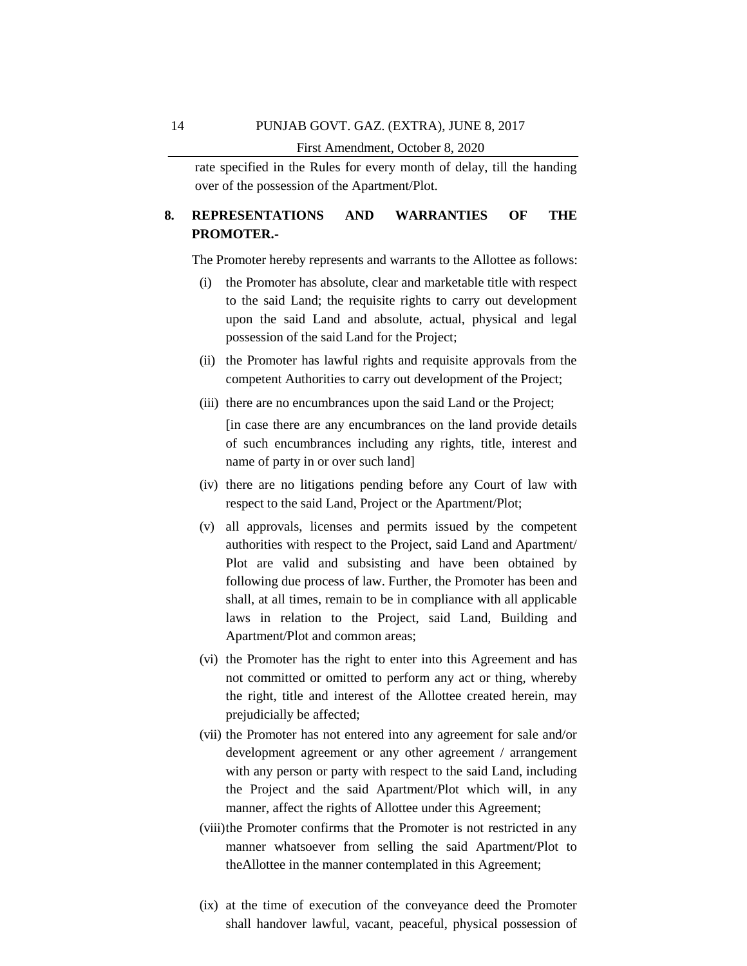First Amendment, October 8, 2020

rate specified in the Rules for every month of delay, till the handing over of the possession of the Apartment/Plot.

# **8. REPRESENTATIONS AND WARRANTIES OF THE PROMOTER.-**

The Promoter hereby represents and warrants to the Allottee as follows:

- (i) the Promoter has absolute, clear and marketable title with respect to the said Land; the requisite rights to carry out development upon the said Land and absolute, actual, physical and legal possession of the said Land for the Project;
- (ii) the Promoter has lawful rights and requisite approvals from the competent Authorities to carry out development of the Project;
- (iii) there are no encumbrances upon the said Land or the Project;

[in case there are any encumbrances on the land provide details of such encumbrances including any rights, title, interest and name of party in or over such land]

- (iv) there are no litigations pending before any Court of law with respect to the said Land, Project or the Apartment/Plot;
- (v) all approvals, licenses and permits issued by the competent authorities with respect to the Project, said Land and Apartment/ Plot are valid and subsisting and have been obtained by following due process of law. Further, the Promoter has been and shall, at all times, remain to be in compliance with all applicable laws in relation to the Project, said Land, Building and Apartment/Plot and common areas;
- (vi) the Promoter has the right to enter into this Agreement and has not committed or omitted to perform any act or thing, whereby the right, title and interest of the Allottee created herein, may prejudicially be affected;
- (vii) the Promoter has not entered into any agreement for sale and/or development agreement or any other agreement / arrangement with any person or party with respect to the said Land, including the Project and the said Apartment/Plot which will, in any manner, affect the rights of Allottee under this Agreement;
- (viii)the Promoter confirms that the Promoter is not restricted in any manner whatsoever from selling the said Apartment/Plot to theAllottee in the manner contemplated in this Agreement;
- (ix) at the time of execution of the conveyance deed the Promoter shall handover lawful, vacant, peaceful, physical possession of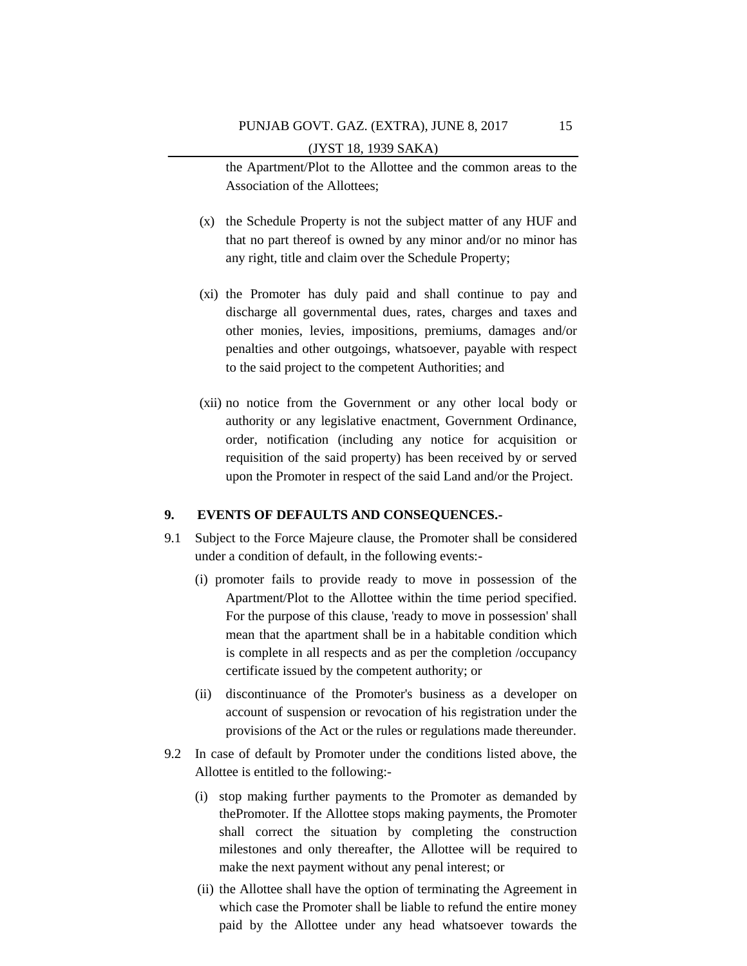the Apartment/Plot to the Allottee and the common areas to the Association of the Allottees;

- (x) the Schedule Property is not the subject matter of any HUF and that no part thereof is owned by any minor and/or no minor has any right, title and claim over the Schedule Property;
- (xi) the Promoter has duly paid and shall continue to pay and discharge all governmental dues, rates, charges and taxes and other monies, levies, impositions, premiums, damages and/or penalties and other outgoings, whatsoever, payable with respect to the said project to the competent Authorities; and
- (xii) no notice from the Government or any other local body or authority or any legislative enactment, Government Ordinance, order, notification (including any notice for acquisition or requisition of the said property) has been received by or served upon the Promoter in respect of the said Land and/or the Project.

### **9. EVENTS OF DEFAULTS AND CONSEQUENCES.-**

- 9.1 Subject to the Force Majeure clause, the Promoter shall be considered under a condition of default, in the following events:-
	- (i) promoter fails to provide ready to move in possession of the Apartment/Plot to the Allottee within the time period specified. For the purpose of this clause, 'ready to move in possession' shall mean that the apartment shall be in a habitable condition which is complete in all respects and as per the completion /occupancy certificate issued by the competent authority; or
	- (ii) discontinuance of the Promoter's business as a developer on account of suspension or revocation of his registration under the provisions of the Act or the rules or regulations made thereunder.
- 9.2 In case of default by Promoter under the conditions listed above, the Allottee is entitled to the following:-
	- (i) stop making further payments to the Promoter as demanded by thePromoter. If the Allottee stops making payments, the Promoter shall correct the situation by completing the construction milestones and only thereafter, the Allottee will be required to make the next payment without any penal interest; or
	- (ii) the Allottee shall have the option of terminating the Agreement in which case the Promoter shall be liable to refund the entire money paid by the Allottee under any head whatsoever towards the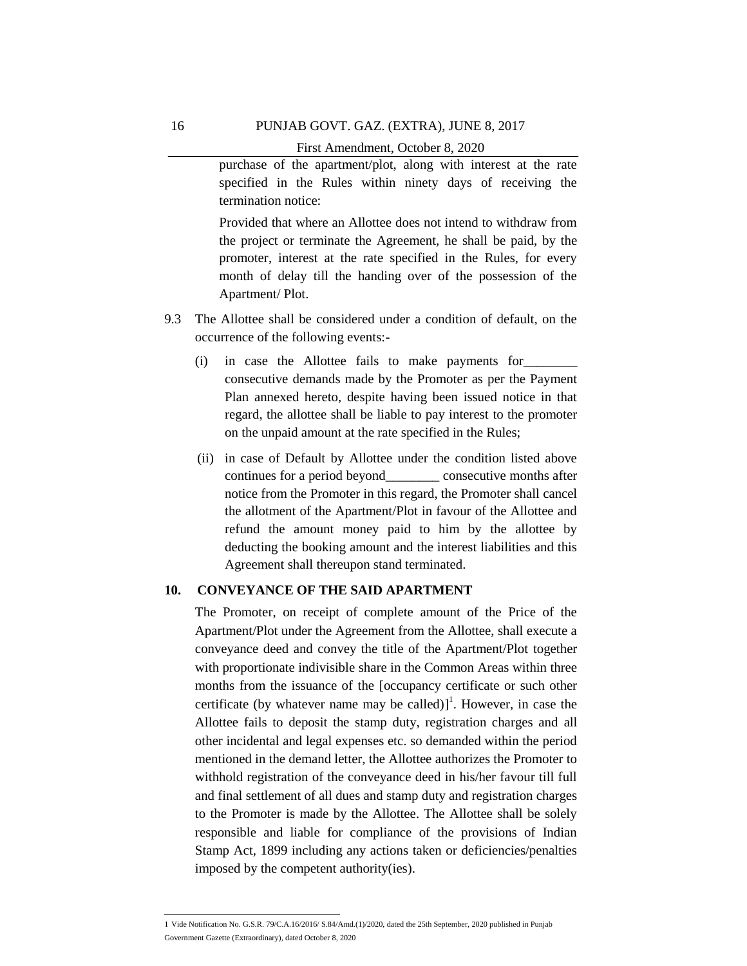# PUNJAB GOVT. GAZ. (EXTRA), JUNE 8, 2017

First Amendment, October 8, 2020

purchase of the apartment/plot, along with interest at the rate specified in the Rules within ninety days of receiving the termination notice:

Provided that where an Allottee does not intend to withdraw from the project or terminate the Agreement, he shall be paid, by the promoter, interest at the rate specified in the Rules, for every month of delay till the handing over of the possession of the Apartment/ Plot.

- 9.3 The Allottee shall be considered under a condition of default, on the occurrence of the following events:-
	- (i) in case the Allottee fails to make payments for\_\_\_\_\_\_\_\_ consecutive demands made by the Promoter as per the Payment Plan annexed hereto, despite having been issued notice in that regard, the allottee shall be liable to pay interest to the promoter on the unpaid amount at the rate specified in the Rules;
	- (ii) in case of Default by Allottee under the condition listed above continues for a period beyond consecutive months after notice from the Promoter in this regard, the Promoter shall cancel the allotment of the Apartment/Plot in favour of the Allottee and refund the amount money paid to him by the allottee by deducting the booking amount and the interest liabilities and this Agreement shall thereupon stand terminated.

# **10. CONVEYANCE OF THE SAID APARTMENT**

The Promoter, on receipt of complete amount of the Price of the Apartment/Plot under the Agreement from the Allottee, shall execute a conveyance deed and convey the title of the Apartment/Plot together with proportionate indivisible share in the Common Areas within three months from the issuance of the [occupancy certificate or such other certificate (by whatever name may be called) $]^{1}$ . However, in case the Allottee fails to deposit the stamp duty, registration charges and all other incidental and legal expenses etc. so demanded within the period mentioned in the demand letter, the Allottee authorizes the Promoter to withhold registration of the conveyance deed in his/her favour till full and final settlement of all dues and stamp duty and registration charges to the Promoter is made by the Allottee. The Allottee shall be solely responsible and liable for compliance of the provisions of Indian Stamp Act, 1899 including any actions taken or deficiencies/penalties imposed by the competent authority(ies).

 1 Vide Notification No. G.S.R. 79/C.A.16/2016/ S.84/Amd.(1)/2020, dated the 25th September, 2020 published in Punjab Government Gazette (Extraordinary), dated October 8, 2020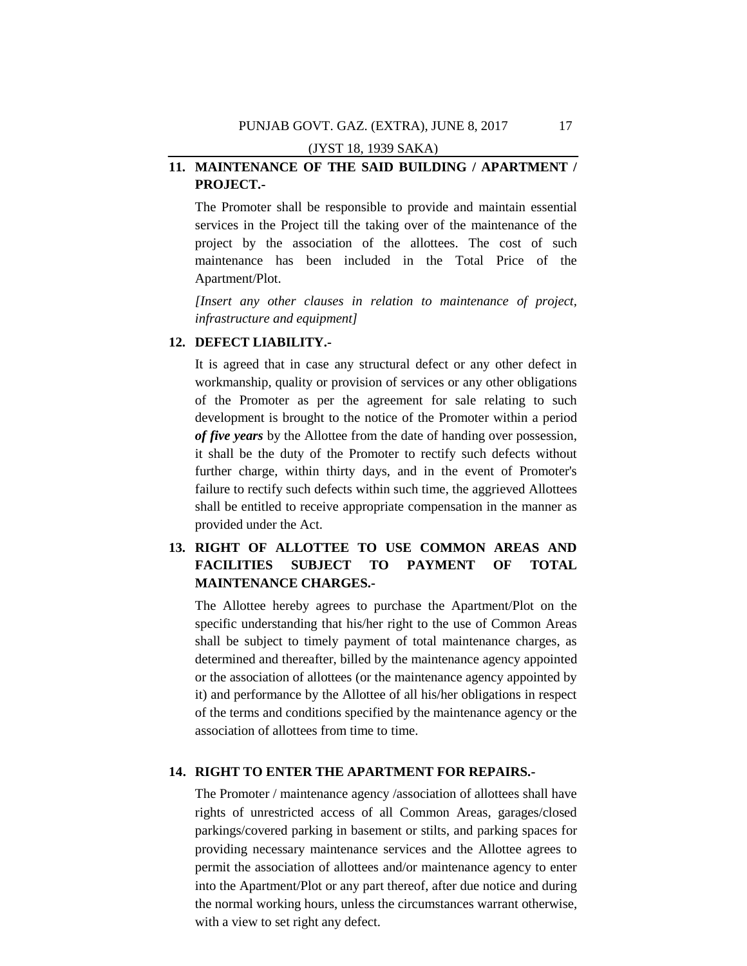# **11. MAINTENANCE OF THE SAID BUILDING / APARTMENT / PROJECT.-**

The Promoter shall be responsible to provide and maintain essential services in the Project till the taking over of the maintenance of the project by the association of the allottees. The cost of such maintenance has been included in the Total Price of the Apartment/Plot.

*[Insert any other clauses in relation to maintenance of project, infrastructure and equipment]*

# **12. DEFECT LIABILITY.-**

It is agreed that in case any structural defect or any other defect in workmanship, quality or provision of services or any other obligations of the Promoter as per the agreement for sale relating to such development is brought to the notice of the Promoter within a period *of five years* by the Allottee from the date of handing over possession, it shall be the duty of the Promoter to rectify such defects without further charge, within thirty days, and in the event of Promoter's failure to rectify such defects within such time, the aggrieved Allottees shall be entitled to receive appropriate compensation in the manner as provided under the Act.

# **13. RIGHT OF ALLOTTEE TO USE COMMON AREAS AND FACILITIES SUBJECT TO PAYMENT OF TOTAL MAINTENANCE CHARGES.-**

The Allottee hereby agrees to purchase the Apartment/Plot on the specific understanding that his/her right to the use of Common Areas shall be subject to timely payment of total maintenance charges, as determined and thereafter, billed by the maintenance agency appointed or the association of allottees (or the maintenance agency appointed by it) and performance by the Allottee of all his/her obligations in respect of the terms and conditions specified by the maintenance agency or the association of allottees from time to time.

# **14. RIGHT TO ENTER THE APARTMENT FOR REPAIRS.-**

The Promoter / maintenance agency /association of allottees shall have rights of unrestricted access of all Common Areas, garages/closed parkings/covered parking in basement or stilts, and parking spaces for providing necessary maintenance services and the Allottee agrees to permit the association of allottees and/or maintenance agency to enter into the Apartment/Plot or any part thereof, after due notice and during the normal working hours, unless the circumstances warrant otherwise, with a view to set right any defect.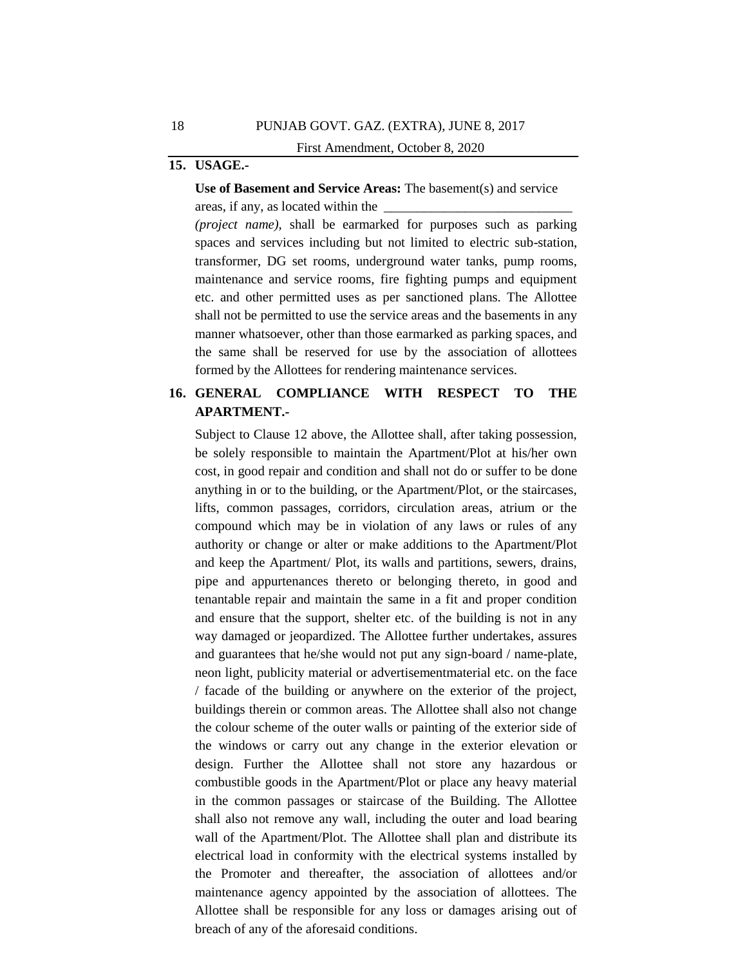# **15. USAGE.-**

**Use of Basement and Service Areas:** The basement(s) and service areas, if any, as located within the

*(project name),* shall be earmarked for purposes such as parking spaces and services including but not limited to electric sub-station, transformer, DG set rooms, underground water tanks, pump rooms, maintenance and service rooms, fire fighting pumps and equipment etc. and other permitted uses as per sanctioned plans. The Allottee shall not be permitted to use the service areas and the basements in any manner whatsoever, other than those earmarked as parking spaces, and the same shall be reserved for use by the association of allottees formed by the Allottees for rendering maintenance services.

# **16. GENERAL COMPLIANCE WITH RESPECT TO THE APARTMENT.-**

Subject to Clause 12 above, the Allottee shall, after taking possession, be solely responsible to maintain the Apartment/Plot at his/her own cost, in good repair and condition and shall not do or suffer to be done anything in or to the building, or the Apartment/Plot, or the staircases, lifts, common passages, corridors, circulation areas, atrium or the compound which may be in violation of any laws or rules of any authority or change or alter or make additions to the Apartment/Plot and keep the Apartment/ Plot, its walls and partitions, sewers, drains, pipe and appurtenances thereto or belonging thereto, in good and tenantable repair and maintain the same in a fit and proper condition and ensure that the support, shelter etc. of the building is not in any way damaged or jeopardized. The Allottee further undertakes, assures and guarantees that he/she would not put any sign-board / name-plate, neon light, publicity material or advertisementmaterial etc. on the face / facade of the building or anywhere on the exterior of the project, buildings therein or common areas. The Allottee shall also not change the colour scheme of the outer walls or painting of the exterior side of the windows or carry out any change in the exterior elevation or design. Further the Allottee shall not store any hazardous or combustible goods in the Apartment/Plot or place any heavy material in the common passages or staircase of the Building. The Allottee shall also not remove any wall, including the outer and load bearing wall of the Apartment/Plot. The Allottee shall plan and distribute its electrical load in conformity with the electrical systems installed by the Promoter and thereafter, the association of allottees and/or maintenance agency appointed by the association of allottees. The Allottee shall be responsible for any loss or damages arising out of breach of any of the aforesaid conditions.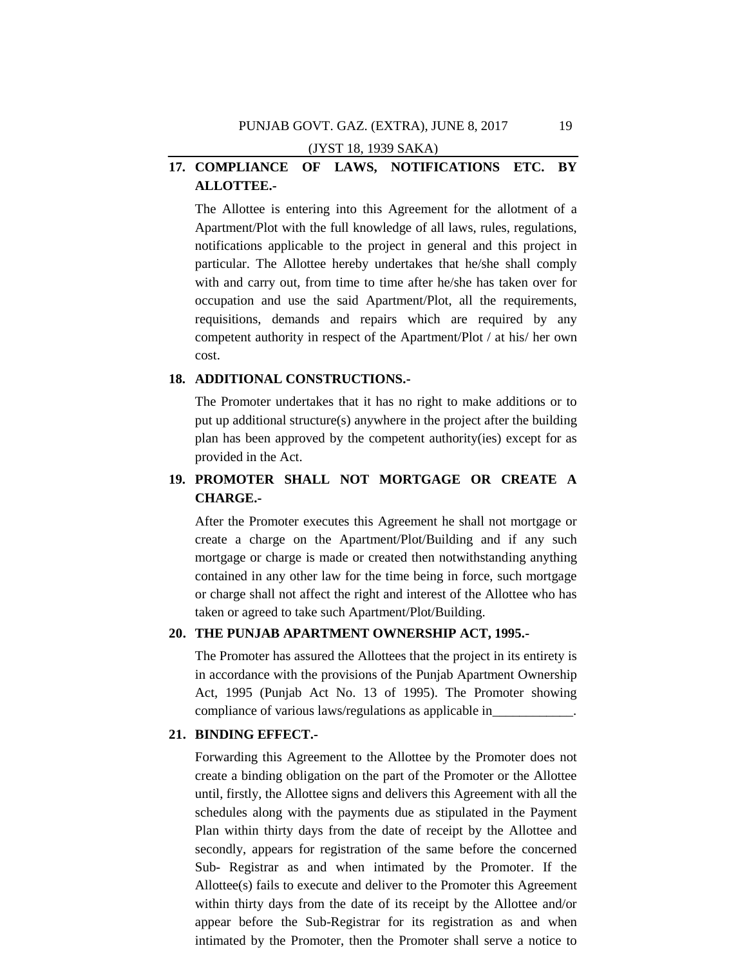# **17. COMPLIANCE OF LAWS, NOTIFICATIONS ETC. BY ALLOTTEE.-**

The Allottee is entering into this Agreement for the allotment of a Apartment/Plot with the full knowledge of all laws, rules, regulations, notifications applicable to the project in general and this project in particular. The Allottee hereby undertakes that he/she shall comply with and carry out, from time to time after he/she has taken over for occupation and use the said Apartment/Plot, all the requirements, requisitions, demands and repairs which are required by any competent authority in respect of the Apartment/Plot / at his/ her own cost.

# **18. ADDITIONAL CONSTRUCTIONS.-**

The Promoter undertakes that it has no right to make additions or to put up additional structure(s) anywhere in the project after the building plan has been approved by the competent authority(ies) except for as provided in the Act.

# **19. PROMOTER SHALL NOT MORTGAGE OR CREATE A CHARGE.-**

After the Promoter executes this Agreement he shall not mortgage or create a charge on the Apartment/Plot/Building and if any such mortgage or charge is made or created then notwithstanding anything contained in any other law for the time being in force, such mortgage or charge shall not affect the right and interest of the Allottee who has taken or agreed to take such Apartment/Plot/Building.

# **20. THE PUNJAB APARTMENT OWNERSHIP ACT, 1995.-**

The Promoter has assured the Allottees that the project in its entirety is in accordance with the provisions of the Punjab Apartment Ownership Act, 1995 (Punjab Act No. 13 of 1995). The Promoter showing compliance of various laws/regulations as applicable in\_

### **21. BINDING EFFECT.-**

Forwarding this Agreement to the Allottee by the Promoter does not create a binding obligation on the part of the Promoter or the Allottee until, firstly, the Allottee signs and delivers this Agreement with all the schedules along with the payments due as stipulated in the Payment Plan within thirty days from the date of receipt by the Allottee and secondly, appears for registration of the same before the concerned Sub- Registrar as and when intimated by the Promoter. If the Allottee(s) fails to execute and deliver to the Promoter this Agreement within thirty days from the date of its receipt by the Allottee and/or appear before the Sub-Registrar for its registration as and when intimated by the Promoter, then the Promoter shall serve a notice to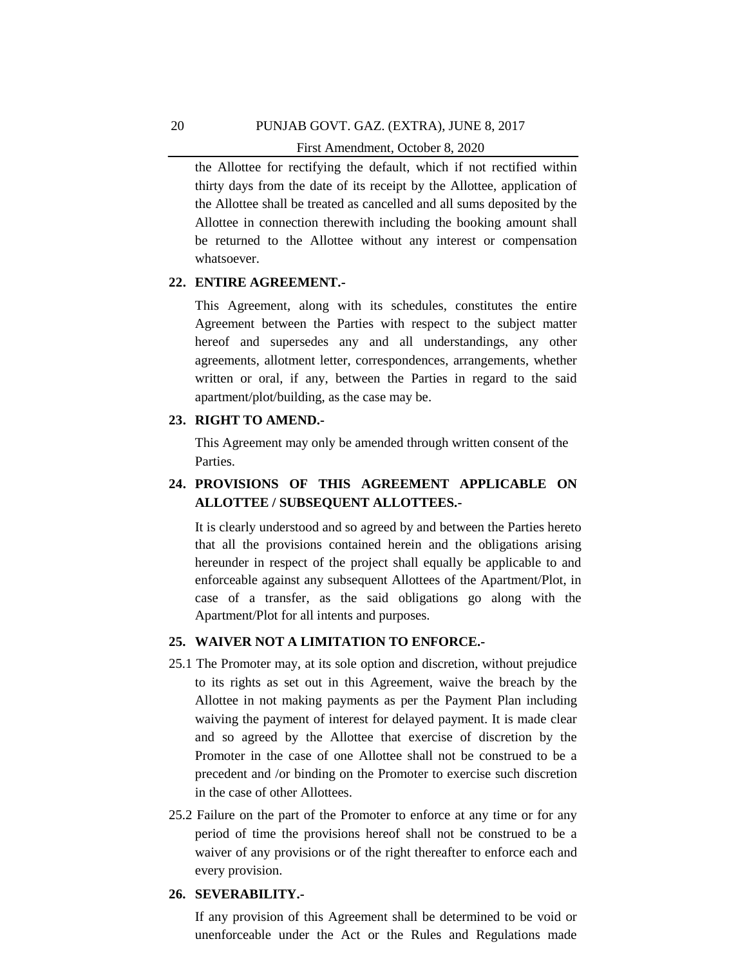the Allottee for rectifying the default, which if not rectified within thirty days from the date of its receipt by the Allottee, application of the Allottee shall be treated as cancelled and all sums deposited by the Allottee in connection therewith including the booking amount shall be returned to the Allottee without any interest or compensation whatsoever.

### **22. ENTIRE AGREEMENT.-**

This Agreement, along with its schedules, constitutes the entire Agreement between the Parties with respect to the subject matter hereof and supersedes any and all understandings, any other agreements, allotment letter, correspondences, arrangements, whether written or oral, if any, between the Parties in regard to the said apartment/plot/building, as the case may be.

### **23. RIGHT TO AMEND.-**

This Agreement may only be amended through written consent of the Parties.

# **24. PROVISIONS OF THIS AGREEMENT APPLICABLE ON ALLOTTEE / SUBSEQUENT ALLOTTEES.-**

It is clearly understood and so agreed by and between the Parties hereto that all the provisions contained herein and the obligations arising hereunder in respect of the project shall equally be applicable to and enforceable against any subsequent Allottees of the Apartment/Plot, in case of a transfer, as the said obligations go along with the Apartment/Plot for all intents and purposes.

### **25. WAIVER NOT A LIMITATION TO ENFORCE.-**

- 25.1 The Promoter may, at its sole option and discretion, without prejudice to its rights as set out in this Agreement, waive the breach by the Allottee in not making payments as per the Payment Plan including waiving the payment of interest for delayed payment. It is made clear and so agreed by the Allottee that exercise of discretion by the Promoter in the case of one Allottee shall not be construed to be a precedent and /or binding on the Promoter to exercise such discretion in the case of other Allottees.
- 25.2 Failure on the part of the Promoter to enforce at any time or for any period of time the provisions hereof shall not be construed to be a waiver of any provisions or of the right thereafter to enforce each and every provision.

#### **26. SEVERABILITY.-**

If any provision of this Agreement shall be determined to be void or unenforceable under the Act or the Rules and Regulations made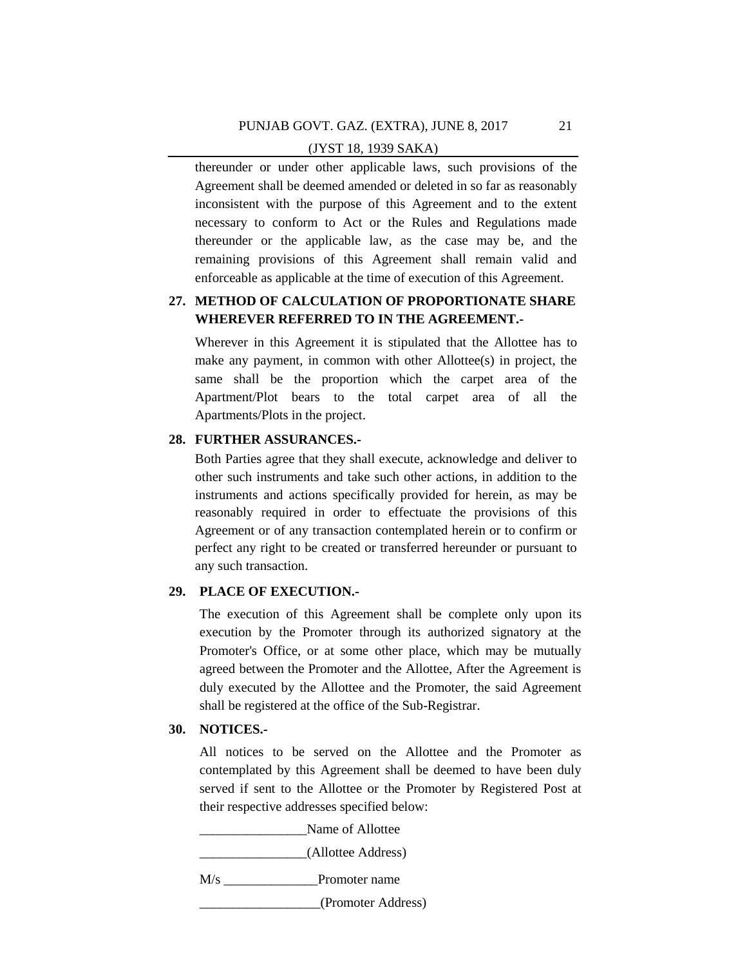thereunder or under other applicable laws, such provisions of the Agreement shall be deemed amended or deleted in so far as reasonably inconsistent with the purpose of this Agreement and to the extent necessary to conform to Act or the Rules and Regulations made thereunder or the applicable law, as the case may be, and the remaining provisions of this Agreement shall remain valid and enforceable as applicable at the time of execution of this Agreement.

# **27. METHOD OF CALCULATION OF PROPORTIONATE SHARE WHEREVER REFERRED TO IN THE AGREEMENT.-**

Wherever in this Agreement it is stipulated that the Allottee has to make any payment, in common with other Allottee(s) in project, the same shall be the proportion which the carpet area of the Apartment/Plot bears to the total carpet area of all the Apartments/Plots in the project.

# **28. FURTHER ASSURANCES.-**

Both Parties agree that they shall execute, acknowledge and deliver to other such instruments and take such other actions, in addition to the instruments and actions specifically provided for herein, as may be reasonably required in order to effectuate the provisions of this Agreement or of any transaction contemplated herein or to confirm or perfect any right to be created or transferred hereunder or pursuant to any such transaction.

# **29. PLACE OF EXECUTION.-**

The execution of this Agreement shall be complete only upon its execution by the Promoter through its authorized signatory at the Promoter's Office, or at some other place, which may be mutually agreed between the Promoter and the Allottee, After the Agreement is duly executed by the Allottee and the Promoter, the said Agreement shall be registered at the office of the Sub-Registrar.

# **30. NOTICES.-**

All notices to be served on the Allottee and the Promoter as contemplated by this Agreement shall be deemed to have been duly served if sent to the Allottee or the Promoter by Registered Post at their respective addresses specified below:

Name of Allottee

\_\_\_\_\_\_\_\_\_\_\_\_\_\_\_\_(Allottee Address)

M/s \_\_\_\_\_\_\_\_\_\_\_\_\_\_Promoter name

\_\_\_\_\_\_\_\_\_\_\_\_\_\_\_\_\_\_(Promoter Address)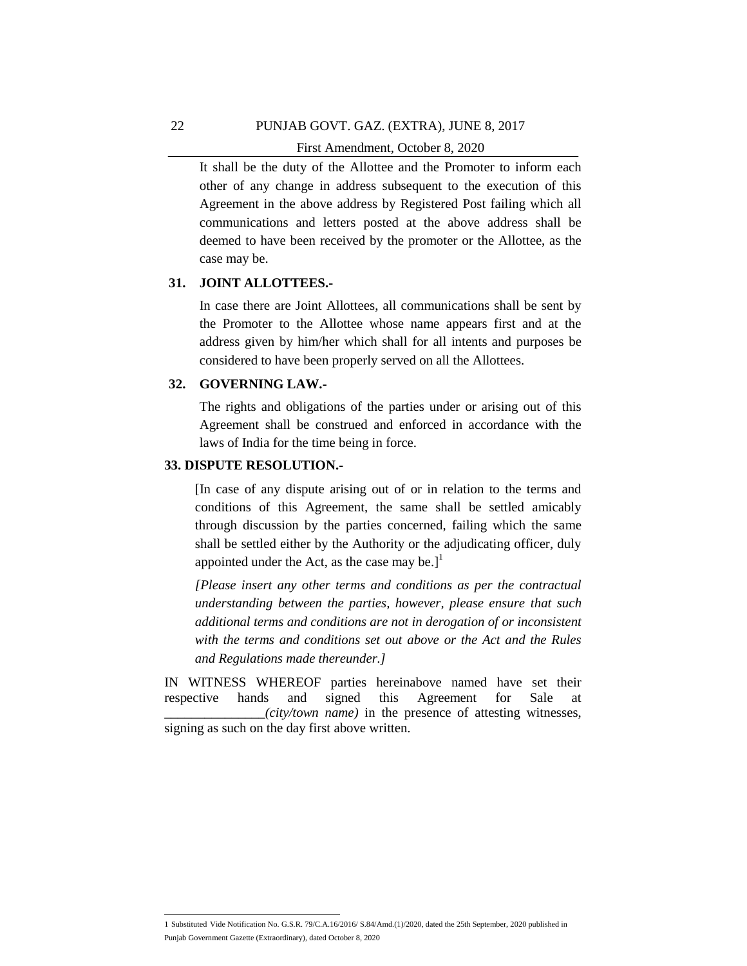It shall be the duty of the Allottee and the Promoter to inform each other of any change in address subsequent to the execution of this Agreement in the above address by Registered Post failing which all communications and letters posted at the above address shall be deemed to have been received by the promoter or the Allottee, as the case may be.

### **31. JOINT ALLOTTEES.-**

In case there are Joint Allottees, all communications shall be sent by the Promoter to the Allottee whose name appears first and at the address given by him/her which shall for all intents and purposes be considered to have been properly served on all the Allottees.

# **32. GOVERNING LAW.-**

The rights and obligations of the parties under or arising out of this Agreement shall be construed and enforced in accordance with the laws of India for the time being in force.

# **33. DISPUTE RESOLUTION.-**

[In case of any dispute arising out of or in relation to the terms and conditions of this Agreement, the same shall be settled amicably through discussion by the parties concerned, failing which the same shall be settled either by the Authority or the adjudicating officer, duly appointed under the Act, as the case may be.] $^1$ 

*[Please insert any other terms and conditions as per the contractual understanding between the parties, however, please ensure that such additional terms and conditions are not in derogation of or inconsistent with the terms and conditions set out above or the Act and the Rules and Regulations made thereunder.]*

IN WITNESS WHEREOF parties hereinabove named have set their respective hands and signed this Agreement for Sale at \_\_\_\_\_\_\_\_\_\_\_\_\_\_\_*(city/town name)* in the presence of attesting witnesses, signing as such on the day first above written.

 1 Substituted Vide Notification No. G.S.R. 79/C.A.16/2016/ S.84/Amd.(1)/2020, dated the 25th September, 2020 published in Punjab Government Gazette (Extraordinary), dated October 8, 2020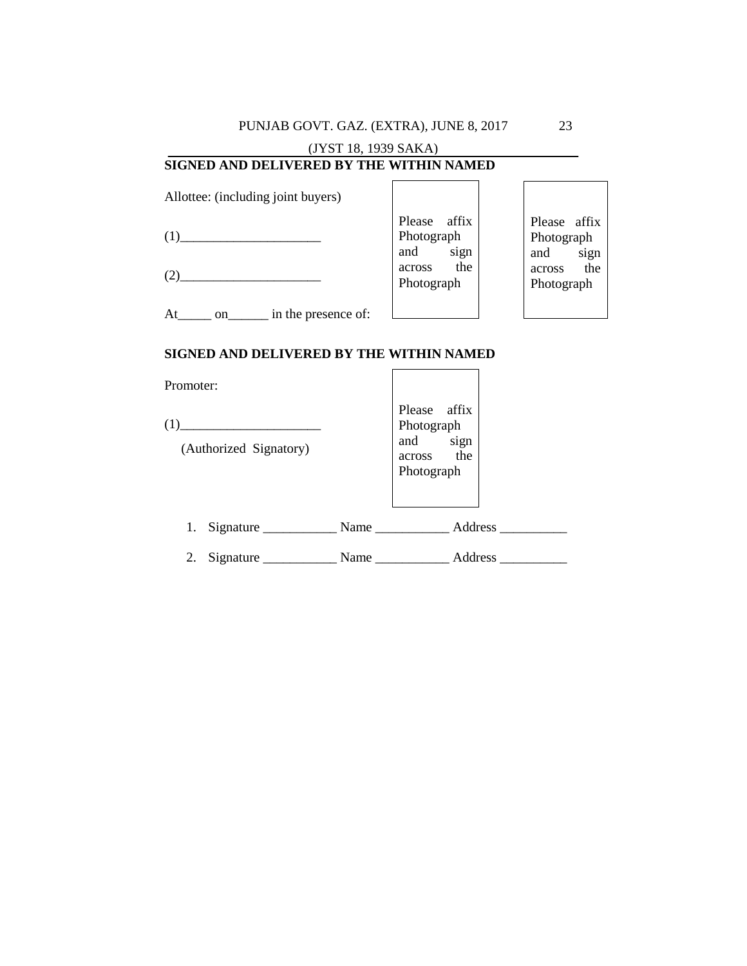PUNJAB GOVT. GAZ. (EXTRA), JUNE 8, 2017

# (JYST 18, 1939 SAKA) **SIGNED AND DELIVERED BY THE WITHIN NAMED**

Allottee: (including joint buyers)

|                                 | affix<br>Please | Please affix  |
|---------------------------------|-----------------|---------------|
|                                 | Photograph      | Photograph    |
|                                 | and<br>sign     | and<br>sign   |
|                                 | the<br>across   | the<br>across |
|                                 | Photograph      | Photograph    |
|                                 |                 |               |
| in the presence of:<br>At<br>on |                 |               |

# **SIGNED AND DELIVERED BY THE WITHIN NAMED**

| Promoter:                                                                      |                                                                    |
|--------------------------------------------------------------------------------|--------------------------------------------------------------------|
| (1)<br><u> 1989 - Andrea Andrew Maria (h. 1989).</u><br>(Authorized Signatory) | Please affix<br>Photograph<br>and sign<br>across the<br>Photograph |
| 1.                                                                             | Address                                                            |
| 2.                                                                             | Address                                                            |